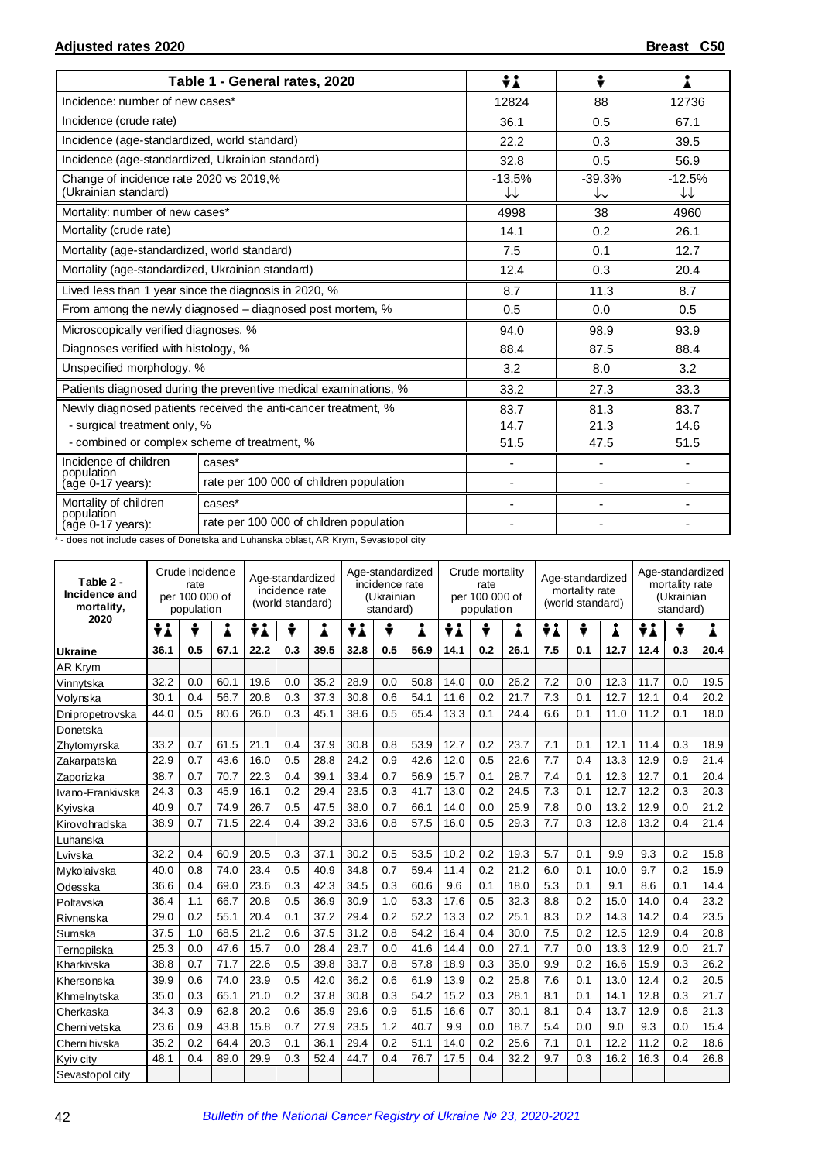|                                                                 | Table 1 - General rates, 2020                                    | ÷i             | ÷                        |                |
|-----------------------------------------------------------------|------------------------------------------------------------------|----------------|--------------------------|----------------|
| Incidence: number of new cases*                                 |                                                                  | 12824          | 88                       | 12736          |
| Incidence (crude rate)                                          |                                                                  | 36.1           | 0.5                      | 67.1           |
| Incidence (age-standardized, world standard)                    |                                                                  | 22.2           | 0.3                      | 39.5           |
| Incidence (age-standardized, Ukrainian standard)                |                                                                  | 32.8           | 0.5                      | 56.9           |
| Change of incidence rate 2020 vs 2019,%<br>(Ukrainian standard) |                                                                  | $-13.5%$<br>↓↓ | $-39.3%$<br>↓↓           | $-12.5%$<br>↓↓ |
| Mortality: number of new cases*                                 |                                                                  | 4998           | 38                       | 4960           |
| Mortality (crude rate)                                          |                                                                  | 14.1           | 0.2                      | 26.1           |
| Mortality (age-standardized, world standard)                    |                                                                  | 7.5            | 0.1                      | 12.7           |
| Mortality (age-standardized, Ukrainian standard)                |                                                                  | 12.4           | 0.3                      | 20.4           |
|                                                                 | Lived less than 1 year since the diagnosis in 2020, %            | 8.7            | 11.3                     | 8.7            |
|                                                                 | From among the newly diagnosed – diagnosed post mortem, %        | 0.5            | 0.0                      | 0.5            |
| Microscopically verified diagnoses, %                           |                                                                  | 94.0           | 98.9                     | 93.9           |
| Diagnoses verified with histology, %                            |                                                                  | 88.4           | 87.5                     | 88.4           |
| Unspecified morphology, %                                       |                                                                  | 3.2            | 8.0                      | 3.2            |
|                                                                 | Patients diagnosed during the preventive medical examinations, % | 33.2           | 27.3                     | 33.3           |
|                                                                 | Newly diagnosed patients received the anti-cancer treatment, %   | 83.7           | 81.3                     | 83.7           |
| - surgical treatment only, %                                    |                                                                  | 14.7           | 21.3                     | 14.6           |
| - combined or complex scheme of treatment, %                    |                                                                  | 51.5           | 47.5                     | 51.5           |
| Incidence of children<br>population                             | cases*                                                           | ٠              | $\overline{\phantom{0}}$ |                |
| (age 0-17 years):                                               | rate per 100 000 of children population                          | ٠              | ٠                        |                |
| Mortality of children<br>population                             | cases*                                                           | ٠              | ٠                        |                |
| (age 0-17 years):                                               | rate per 100 000 of children population                          |                |                          |                |

\*- does not include cases of Donetska and Luhanska oblast, AR Krym, Sevastopol city

| Table 2 -<br>Incidence and<br>mortality, | Crude incidence<br>rate<br>per 100 000 of<br>population |     |      |      | Age-standardized<br>incidence rate<br>(world standard) |      | Age-standardized<br>incidence rate<br>(Ukrainian<br>standard) |     |      | Crude mortality<br>rate<br>per 100 000 of<br>population |     |      | Age-standardized<br>mortality rate<br>(world standard) |     |      | Age-standardized<br>mortality rate<br>(Ukrainian<br>standard) |     |      |
|------------------------------------------|---------------------------------------------------------|-----|------|------|--------------------------------------------------------|------|---------------------------------------------------------------|-----|------|---------------------------------------------------------|-----|------|--------------------------------------------------------|-----|------|---------------------------------------------------------------|-----|------|
| 2020                                     | ÷i                                                      | ÷   | i    | ÷i   | ÷                                                      | Å    | ÷i                                                            | ÷   | i    | ÷i                                                      |     |      | ÷i                                                     | ÷   | Å    | ÷i                                                            | ÷   |      |
| <b>Ukraine</b>                           | 36.1                                                    | 0.5 | 67.1 | 22.2 | 0.3                                                    | 39.5 | 32.8                                                          | 0.5 | 56.9 | 14.1                                                    | 0.2 | 26.1 | 7.5                                                    | 0.1 | 12.7 | 12.4                                                          | 0.3 | 20.4 |
| AR Krym                                  |                                                         |     |      |      |                                                        |      |                                                               |     |      |                                                         |     |      |                                                        |     |      |                                                               |     |      |
| Vinnytska                                | 32.2                                                    | 0.0 | 60.1 | 19.6 | 0.0                                                    | 35.2 | 28.9                                                          | 0.0 | 50.8 | 14.0                                                    | 0.0 | 26.2 | 7.2                                                    | 0.0 | 12.3 | 11.7                                                          | 0.0 | 19.5 |
| Volynska                                 | 30.1                                                    | 0.4 | 56.7 | 20.8 | 0.3                                                    | 37.3 | 30.8                                                          | 0.6 | 54.1 | 11.6                                                    | 0.2 | 21.7 | 7.3                                                    | 0.1 | 12.7 | 12.1                                                          | 0.4 | 20.2 |
| Dnipropetrovska                          | 44.0                                                    | 0.5 | 80.6 | 26.0 | 0.3                                                    | 45.1 | 38.6                                                          | 0.5 | 65.4 | 13.3                                                    | 0.1 | 24.4 | 6.6                                                    | 0.1 | 11.0 | 11.2                                                          | 0.1 | 18.0 |
| Donetska                                 |                                                         |     |      |      |                                                        |      |                                                               |     |      |                                                         |     |      |                                                        |     |      |                                                               |     |      |
| Zhytomyrska                              | 33.2                                                    | 0.7 | 61.5 | 21.1 | 0.4                                                    | 37.9 | 30.8                                                          | 0.8 | 53.9 | 12.7                                                    | 0.2 | 23.7 | 7.1                                                    | 0.1 | 12.1 | 11.4                                                          | 0.3 | 18.9 |
| Zakarpatska                              | 22.9                                                    | 0.7 | 43.6 | 16.0 | 0.5                                                    | 28.8 | 24.2                                                          | 0.9 | 42.6 | 12.0                                                    | 0.5 | 22.6 | 7.7                                                    | 0.4 | 13.3 | 12.9                                                          | 0.9 | 21.4 |
| Zaporizka                                | 38.7                                                    | 0.7 | 70.7 | 22.3 | 0.4                                                    | 39.1 | 33.4                                                          | 0.7 | 56.9 | 15.7                                                    | 0.1 | 28.7 | 7.4                                                    | 0.1 | 12.3 | 12.7                                                          | 0.1 | 20.4 |
| Ivano-Frankivska                         | 24.3                                                    | 0.3 | 45.9 | 16.1 | 0.2                                                    | 29.4 | 23.5                                                          | 0.3 | 41.7 | 13.0                                                    | 0.2 | 24.5 | 7.3                                                    | 0.1 | 12.7 | 12.2                                                          | 0.3 | 20.3 |
| Kyivska                                  | 40.9                                                    | 0.7 | 74.9 | 26.7 | 0.5                                                    | 47.5 | 38.0                                                          | 0.7 | 66.1 | 14.0                                                    | 0.0 | 25.9 | 7.8                                                    | 0.0 | 13.2 | 12.9                                                          | 0.0 | 21.2 |
| Kirovohradska                            | 38.9                                                    | 0.7 | 71.5 | 22.4 | 0.4                                                    | 39.2 | 33.6                                                          | 0.8 | 57.5 | 16.0                                                    | 0.5 | 29.3 | 7.7                                                    | 0.3 | 12.8 | 13.2                                                          | 0.4 | 21.4 |
| Luhanska                                 |                                                         |     |      |      |                                                        |      |                                                               |     |      |                                                         |     |      |                                                        |     |      |                                                               |     |      |
| Lvivska                                  | 32.2                                                    | 0.4 | 60.9 | 20.5 | 0.3                                                    | 37.1 | 30.2                                                          | 0.5 | 53.5 | 10.2                                                    | 0.2 | 19.3 | 5.7                                                    | 0.1 | 9.9  | 9.3                                                           | 0.2 | 15.8 |
| Mykolaivska                              | 40.0                                                    | 0.8 | 74.0 | 23.4 | 0.5                                                    | 40.9 | 34.8                                                          | 0.7 | 59.4 | 11.4                                                    | 0.2 | 21.2 | 6.0                                                    | 0.1 | 10.0 | 9.7                                                           | 0.2 | 15.9 |
| Odesska                                  | 36.6                                                    | 0.4 | 69.0 | 23.6 | 0.3                                                    | 42.3 | 34.5                                                          | 0.3 | 60.6 | 9.6                                                     | 0.1 | 18.0 | 5.3                                                    | 0.1 | 9.1  | 8.6                                                           | 0.1 | 14.4 |
| Poltavska                                | 36.4                                                    | 1.1 | 66.7 | 20.8 | 0.5                                                    | 36.9 | 30.9                                                          | 1.0 | 53.3 | 17.6                                                    | 0.5 | 32.3 | 8.8                                                    | 0.2 | 15.0 | 14.0                                                          | 0.4 | 23.2 |
| Rivnenska                                | 29.0                                                    | 0.2 | 55.1 | 20.4 | 0.1                                                    | 37.2 | 29.4                                                          | 0.2 | 52.2 | 13.3                                                    | 0.2 | 25.1 | 8.3                                                    | 0.2 | 14.3 | 14.2                                                          | 0.4 | 23.5 |
| Sumska                                   | 37.5                                                    | 1.0 | 68.5 | 21.2 | 0.6                                                    | 37.5 | 31.2                                                          | 0.8 | 54.2 | 16.4                                                    | 0.4 | 30.0 | 7.5                                                    | 0.2 | 12.5 | 12.9                                                          | 0.4 | 20.8 |
| Ternopilska                              | 25.3                                                    | 0.0 | 47.6 | 15.7 | 0.0                                                    | 28.4 | 23.7                                                          | 0.0 | 41.6 | 14.4                                                    | 0.0 | 27.1 | 7.7                                                    | 0.0 | 13.3 | 12.9                                                          | 0.0 | 21.7 |
| Kharkivska                               | 38.8                                                    | 0.7 | 71.7 | 22.6 | 0.5                                                    | 39.8 | 33.7                                                          | 0.8 | 57.8 | 18.9                                                    | 0.3 | 35.0 | 9.9                                                    | 0.2 | 16.6 | 15.9                                                          | 0.3 | 26.2 |
| Khersonska                               | 39.9                                                    | 0.6 | 74.0 | 23.9 | 0.5                                                    | 42.0 | 36.2                                                          | 0.6 | 61.9 | 13.9                                                    | 0.2 | 25.8 | 7.6                                                    | 0.1 | 13.0 | 12.4                                                          | 0.2 | 20.5 |
| Khmelnytska                              | 35.0                                                    | 0.3 | 65.1 | 21.0 | 0.2                                                    | 37.8 | 30.8                                                          | 0.3 | 54.2 | 15.2                                                    | 0.3 | 28.1 | 8.1                                                    | 0.1 | 14.1 | 12.8                                                          | 0.3 | 21.7 |
| Cherkaska                                | 34.3                                                    | 0.9 | 62.8 | 20.2 | 0.6                                                    | 35.9 | 29.6                                                          | 0.9 | 51.5 | 16.6                                                    | 0.7 | 30.1 | 8.1                                                    | 0.4 | 13.7 | 12.9                                                          | 0.6 | 21.3 |
| Chernivetska                             | 23.6                                                    | 0.9 | 43.8 | 15.8 | 0.7                                                    | 27.9 | 23.5                                                          | 1.2 | 40.7 | 9.9                                                     | 0.0 | 18.7 | 5.4                                                    | 0.0 | 9.0  | 9.3                                                           | 0.0 | 15.4 |
| Chernihivska                             | 35.2                                                    | 0.2 | 64.4 | 20.3 | 0.1                                                    | 36.1 | 29.4                                                          | 0.2 | 51.1 | 14.0                                                    | 0.2 | 25.6 | 7.1                                                    | 0.1 | 12.2 | 11.2                                                          | 0.2 | 18.6 |
| Kyiv city                                | 48.1                                                    | 0.4 | 89.0 | 29.9 | 0.3                                                    | 52.4 | 44.7                                                          | 0.4 | 76.7 | 17.5                                                    | 0.4 | 32.2 | 9.7                                                    | 0.3 | 16.2 | 16.3                                                          | 0.4 | 26.8 |
| Sevastopol city                          |                                                         |     |      |      |                                                        |      |                                                               |     |      |                                                         |     |      |                                                        |     |      |                                                               |     |      |